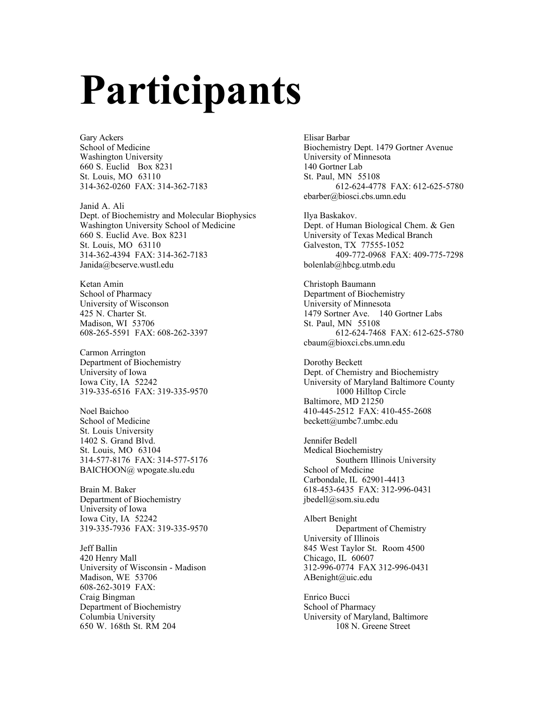## **Participants**

Gary Ackers Elisar Barbar Washington University University of Minnesota 660 S. Euclid Box 8231 140 Gortner Lab<br>St. Louis, MO 63110 5t. Paul, MN 55108 St. Louis, MO 63110

Janid A. Ali Dept. of Biochemistry and Molecular Biophysics Ilya Baskakov. Washington University School of Medicine Dept. of Human Biological Chem. & Gen<br>660 S. Euclid Ave. Box 8231 University of Texas Medical Branch St. Louis, MO 63110 Galveston, TX 77555-1052 314-362-4394 FAX: 314-362-7183<br>Janida@bcserve.wustl.edu bolenlab@hbcg.utmb.edu bolenlab@hbcg.utmb.edu Janida@bcserve.wustl.edu

Ketan Amin<br>
School of Pharmacy<br>
School of Pharmacy<br>
Christoph Baumann<br>
Christoph Baumann University of Wisconson<br>
425 N. Charter St. (1479 Sortner Ave. 140)

Carmon Arrington Department of Biochemistry Dorothy Beckett 319-335-6516 FAX: 319-335-9570 1000 Hilltop Circle

School of Medicine beckett@umbc7.umbc.edu St. Louis University 1402 S. Grand Blvd. Jennifer Bedell St. Louis, MO 63104 Medical Biochemistry BAICHOON@ wpogate.slu.edu

Department of Biochemistry jbedell@som.siu.edu University of Iowa 319-335-7936 FAX: 319-335-9570

420 Henry Mall Chicago, IL 60607 Madison, WE 53706 ABenight@uic.edu 608-262-3019 FAX: Craig Bingman Enrico Bucci Department of Biochemistry School of Pharmacy 650 W. 168th St. RM 204 108 N. Greene Street

School of Medicine Biochemistry Dept. 1479 Gortner Avenue 314-362-0260 FAX: 314-362-7183 612-624-4778 FAX: 612-625-5780 ebarber@biosci.cbs.umn.edu University of Texas Medical Branch Department of Biochemistry 425 N. Charter St. 1479 Sortner Ave. 140 Gortner Labs<br>
Madison, WI 53706 St. Paul, MN 55108 St. Paul, MN 55108 608-265-5591 FAX: 608-262-3397 612-624-7468 FAX: 612-625-5780 cbaum@bioxci.cbs.umn.edu University of Iowa<br>
Iowa City, IA 52242<br>
University of Maryland Baltimore Co University of Maryland Baltimore County Baltimore, MD 21250 Noel Baichoo 410-445-2512 FAX: 410-455-2608 314-577-8176 FAX: 314-577-5176 Southern Illinois University<br>BAICHOON@ wpogate.slu.edu School of Medicine Carbondale, IL 62901-4413 Brain M. Baker 618-453-6435 FAX: 312-996-0431 Iowa City, IA 52242<br>319-335-7936 FAX: 319-335-9570<br>Department of Chemistry University of Illinois Jeff Ballin 845 West Taylor St. Room 4500 University of Wisconsin - Madison 312-996-0774 FAX 312-996-0431 Columbia University University of Maryland, Baltimore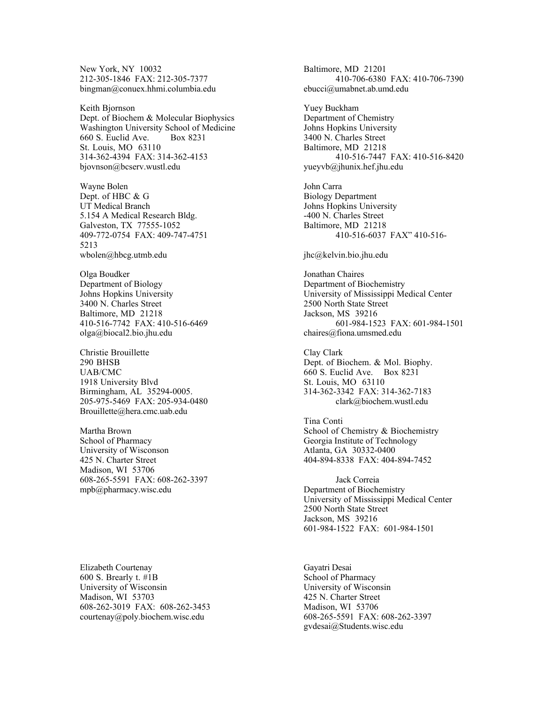New York, NY 10032 Baltimore, MD 21201 bingman@conuex.hhmi.columbia.edu

Keith Bjornson<br>
Dept. of Biochem & Molecular Biophysics<br>
Department of Chemistry Dept. of Biochem & Molecular Biophysics Washington University School of Medicine Johns Hopkins University<br>660 S. Euclid Ave. Box 8231 3400 N. Charles Street 660 S. Euclid Ave. Box 8231 3400 N. Charles Street<br>St. Louis. MO 63110 Baltimore, MD 21218 bjovnson@bcserv.wustl.edu yueyvb@jhunix.hef.jhu.edu

Wayne Bolen John Carra<br>
Dept. of HBC & G Biology De Dept. of HBC & G Biology Department<br>
UT Medical Branch<br>
UT Medical Branch<br>
Biology Department<br>
Biology Department 5.154 A Medical Research Bldg. -400 N. Charles Street 409-772-0754 FAX: 409-747-4751 5213 wbolen@hbcg.utmb.edu jhc@kelvin.bio.jhu.edu

Olga Boudker Jonathan Chaires Department of Biology<br>
Johns Hopkins University<br>
University<br>
University<br>
Of Mississippi Me 3400 N. Charles Street 2500 North State Street<br>Baltimore, MD 21218 Jackson, MS 39216 410-516-7742 FAX: 410-516-6469 olga@biocal2.bio.jhu.edu chaires@fiona.umsmed.edu

Christie Brouillette Clay Clark UAB/CMC 660 S. Euclid Ave. Box 8231 1918 University Blvd St. Louis, MO 63110 Brouillette@hera.cmc.uab.edu

School of Pharmacy Georgia Institute of Technology University of Wisconson **Atlanta**, GA 30332-0400 Madison, WI 53706 608-265-5591 FAX: 608-262-3397 Jack Correia mpb@pharmacy.wisc.edu Department of Biochemistry

Elizabeth Courtenay Gayatri Desai 600 S. Brearly t. #1B School of Pharmacy<br>
University of Wisconsin<br>
University of Wisconsin Madison, WI 53703 425 N. Charter Street 608-262-3019 FAX: 608-262-3453 Madison, WI 53706 courtenay@poly.biochem.wisc.edu 608-265-5591 FAX: 608-262-3397

212-305-1846 FAX: 212-305-7377 410-706-6380 FAX: 410-706-7390 Baltimore, MD 21218 314-362-4394 FAX: 314-362-4153 410-516-7447 FAX: 410-516-8420 Johns Hopkins University Galveston, TX 77555-1052<br>409-772-0754 FAX: 409-747-4751<br>410-516-6037 FAX'' 410-516-University of Mississippi Medical Center Baltimore, MD 21218<br>410-516-7742 FAX: 410-516-6469<br>601-984-1523 FAX: 601-984-1501 290 BHSB Dept. of Biochem. & Mol. Biophy. Birmingham, AL 35294-0005. 314-362-3342 FAX: 314-362-7183 205-975-5469 FAX: 205-934-0480 clark@biochem.wustl.edu Tina Conti Martha Brown School of Chemistry & Biochemistry 425 N. Charter Street 404-894-8338 FAX: 404-894-7452 University of Mississippi Medical Center 2500 North State Street Jackson, MS 39216 601-984-1522 FAX: 601-984-1501

University of Wisconsin University of Wisconsin gvdesai@Students.wisc.edu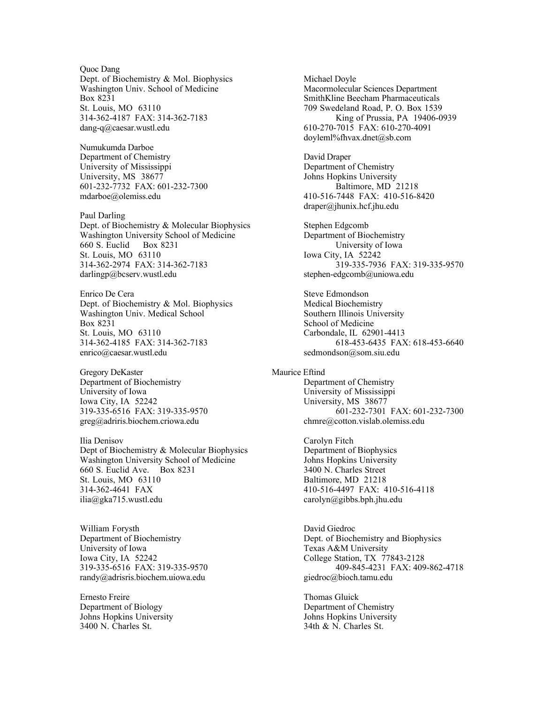Quoc Dang Dept. of Biochemistry & Mol. Biophysics Michael Doyle<br>Washington Univ. School of Medicine Macormolecula Box 8231 SmithKline Beecham Pharmaceuticals St. Louis, MO 63110 709 Swedeland Road, P. O. Box 1539<br>314-362-4187 FAX: 314-362-7183 King of Prussia. PA 19406-0 dang-q@caesar.wustl.edu 610-270-7015 FAX: 610-270-4091

Numukumda Darboe Department of Chemistry David Draper University of Mississippi Department of Chemistry<br>
University, MS 38677<br>
University, MS 38677 601-232-7732 FAX: 601-232-7300 Baltimore, MD 21218

Paul Darling Dept. of Biochemistry & Molecular Biophysics<br>
Washington University School of Medicine<br>
Department of Biochemistry Washington University School of Medicine 660 S. Euclid Box 8231 University of Iowa St. Louis, MO 63110 Iowa City, IA 52242<br>314-362-2974 FAX: 314-362-7183 319-335-793 darlingp@bcserv.wustl.edu stephen-edgcomb@uniowa.edu

Enrico De Cera Steve Edmondson Dept. of Biochemistry & Mol. Biophysics Medical Biochemistry Washington Univ. Medical School Southern Illinois University<br>Box 8231 School of Medicine St. Louis, MO 63110 Carbondale, IL 62901-4413 enrico@caesar.wustl.edu sedmondson@som.siu.edu

Gregory DeKaster Maurice Eftind<br>Department of Biochemistry Department of Chemistry Department of Biochemistry University of Iowa **University of Mississippi** 319-335-6516 FAX: 319-335-9570

Ilia Denisov Carolyn Fitch Dept of Biochemistry & Molecular Biophysics Department of Biophysics Washington University School of Medicine Johns Hopkins University<br>660 S. Euclid Ave. Box 8231 3400 N. Charles Street  $660$  S. Euclid Ave. Box 8231 St. Louis, MO 63110 Baltimore, MD 21218 314-362-4641 FAX 410-516-4497 FAX: 410-516-4118 ilia@gka715.wustl.edu carolyn@gibbs.bph.jhu.edu

William Forysth David Giedroc University of Iowa<br>
Iowa City, IA 52242<br>
College Station, TX 77 randy@adrisris.biochem.uiowa.edu giedroc@bioch.tamu.edu

Ernesto Freire Thomas Gluick Department of Biology Department of Chemistry Johns Hopkins University Johns Hopkins University 3400 N. Charles St. 34th & N. Charles St.

Macormolecular Sciences Department King of Prussia, PA 19406-0939 doyleml%fhvax.dnet@sb.com

Johns Hopkins University mdarboe@olemiss.edu 410-516-7448 FAX: 410-516-8420 draper@jhunix.hcf.jhu.edu

319-335-7936 FAX: 319-335-9570

School of Medicine 314-362-4185 FAX: 314-362-7183 618-453-6435 FAX: 618-453-6640

Iowa City, IA 52242<br>
319-335-6516 FAX: 319-335-9570<br>
319-335-6516 FAX: 319-335-9570<br>
601-232-7301 FAX: 601-232-7300 greg@adriris.biochem.criowa.edu chmre@cotton.vislab.olemiss.edu

Department of Biochemistry Dept. of Biochemistry and Biophysics College Station, TX 77843-2128 319-335-6516 FAX: 319-335-9570 409-845-4231 FAX: 409-862-4718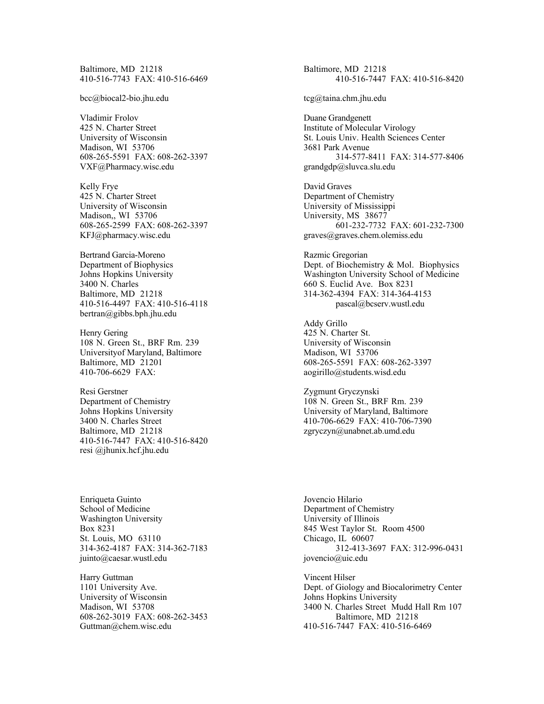Baltimore, MD 21218 Baltimore, MD 21218

Vladimir Frolov Duane Grandgenett 425 N. Charter Street Institute of Molecular Virology Madison, WI 53706 3681 Park Avenue VXF@Pharmacy.wisc.edu grandgdp@sluvca.slu.edu

Kelly Frye David Graves<br>
425 N. Charter Street Contract Contract Contract Contract Contract Department of University of Wisconsin<br>
Madison, WI 53706<br>
University, MS 38677<br>
University, MS 38677 KFJ@pharmacy.wisc.edu graves@graves.chem.olemiss.edu

Bertrand Garcia-Moreno Razmic Gregorian 3400 N. Charles 660 S. Euclid Ave. Box 8231<br>Baltimore, MD 21218 314-362-4394 FAX: 314-364bertran@gibbs.bph.jhu.edu

Henry Gering 425 N. Charter St. 108 N. Green St., BRF Rm. 239<br>
University of Maryland, Baltimore<br>
Madison, WI 53706 Universityof Maryland, Baltimore 410-706-6629 FAX: aogirillo@students.wisd.edu

Resi Gerstner Zygmunt Gryczynski Department of Chemistry 108 N. Green St., BRF Rm. 239 Baltimore, MD 21218 zgryczyn@unabnet.ab.umd.edu 410-516-7447 FAX: 410-516-8420 resi @jhunix.hcf.jhu.edu

Enriqueta Guinto Jovencio Hilario School of Medicine Department of Chemistry Washington University<br>
Box 8231 845 West Taylor St.<br>
845 West Taylor St. St. Louis, MO 63110 juinto@caesar.wustl.edu jovencio@uic.edu

Harry Guttman Vincent Hilser University of Wisconsin Johns Hopkins University 608-262-3019 FAX: 608-262-3453 Baltimore, MD 21218

410-516-7743 FAX: 410-516-6469 410-516-7447 FAX: 410-516-8420 bcc@biocal2-bio.jhu.edu tcg@taina.chm.jhu.edu University of Wisconsin St. Louis Univ. Health Sciences Center 608-265-5591 FAX: 608-262-3397 314-577-8411 FAX: 314-577-8406 Department of Chemistry University, MS 38677 608-265-2599 FAX: 608-262-3397 601-232-7732 FAX: 601-232-7300 Department of Biophysics Dept. of Biochemistry & Mol. Biophysics Johns Hopkins University Washington University School of Medicine Baltimore, MD 21218 314-362-4394 FAX: 314-364-4153 410-516-4497 FAX: 410-516-4118 pascal@bcserv.wustl.edu Addy Grillo Baltimore, MD 21201 608-265-5591 FAX: 608-262-3397 Johns Hopkins University University of Maryland, Baltimore 3400 N. Charles Street 410-706-6629 FAX: 410-706-7390

845 West Taylor St. Room 4500<br>Chicago, IL 60607 314-362-4187 FAX: 314-362-7183 312-413-3697 FAX: 312-996-0431

1101 University Ave. Dept. of Giology and Biocalorimetry Center Madison, WI 53708 3400 N. Charles Street Mudd Hall Rm 107 Guttman@chem.wisc.edu 410-516-7447 FAX: 410-516-6469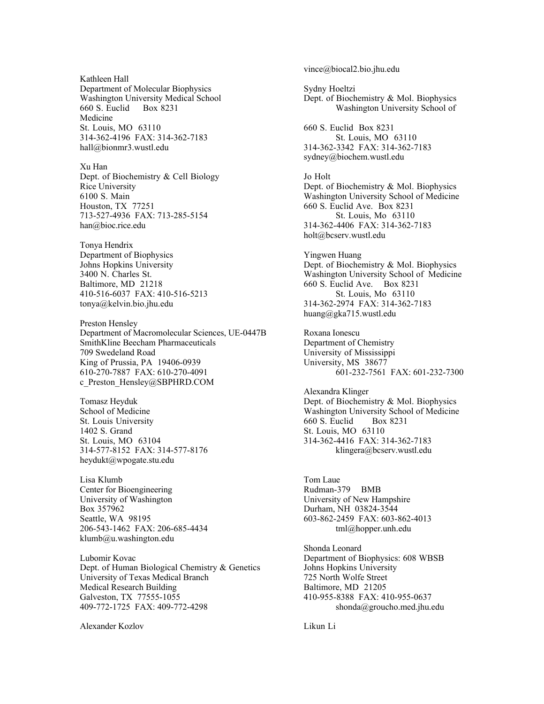Kathleen Hall Department of Molecular Biophysics Sydny Hoeltzi Medicine St. Louis, MO 63110 660 S. Euclid Box 8231 314-362-4196 FAX: 314-362-7183 St. Louis, MO 63110 hall@bionmr3.wustl.edu 314-362-3342 FAX: 314-362-7183

Xu Han Dept. of Biochemistry & Cell Biology Jo Holt 713-527-4936 FAX: 713-285-5154 St. Louis, Mo 63110 han@bioc.rice.edu 314-362-4406 FAX: 314-362-7183

Tonya Hendrix Department of Biophysics<br>
Johns Hopkins University<br>
Dept. of Biocher Baltimore, MD 21218 660 S. Euclid Ave. Box 8231<br>410-516-6037 FAX: 410-516-5213 5t. Louis, Mo 63110 410-516-6037 FAX: 410-516-5213

Preston Hensley Department of Macromolecular Sciences, UE-0447B Roxana Ionescu SmithKline Beecham Pharmaceuticals Department of Chemistry<br>
709 Swedeland Road<br>
University of Mississippi King of Prussia, PA 19406-0939 University, MS 38677 610-270-7887 FAX: 610-270-4091 601-232-7561 FAX: 601-232-7300 c Preston Hensley@SBPHRD.COM

St. Louis University 660 S. Euclid Box 8231 1402 S. Grand St. Louis, MO 63110<br>St. Louis, MO 63104 314-362-4416 FAX: 3 heydukt@wpogate.stu.edu

Lisa Klumb Tom Laue Center for Bioengineering Rudman-379 BMB University of Washington University of New Hampshire Box 357962 Durham, NH 03824-3544 206-543-1462 FAX: 206-685-4434 tml@hopper.unh.edu klumb@u.washington.edu

Lubomir Kovac Department of Biophysics: 608 WBSB Dept. of Human Biological Chemistry & Genetics Johns Hopkins University University of Texas Medical Branch 725 North Wolfe Street<br>
Medical Research Building<br>
Baltimore, MD 21205 Medical Research Building Galveston, TX 77555-1055 410-955-8388 FAX: 410-955-0637 409-772-1725 FAX: 409-772-4298 shonda@groucho.med.jhu.edu

Alexander Kozlov Likun Li

vince@biocal2.bio.jhu.edu Washington University Medical School Dept. of Biochemistry & Mol. Biophysics 660 S. Euclid Box 8231 Washington University School of sydney@biochem.wustl.edu Rice University **Dept. of Biochemistry & Mol. Biophysics** 6100 S. Main Washington University School of Medicine<br>Houston, TX 77251 660 S. Euclid Ave. Box 8231  $660$  S. Euclid Ave. Box 8231 holt@bcserv.wustl.edu Dept. of Biochemistry & Mol. Biophysics 3400 N. Charles St. Washington University School of Medicine tonya@kelvin.bio.jhu.edu 314-362-2974 FAX: 314-362-7183 huang@gka715.wustl.edu University of Mississippi Alexandra Klinger Tomasz Heyduk **Dept.** of Biochemistry & Mol. Biophysics School of Medicine Washington University School of Medicine 314-362-4416 FAX: 314-362-7183 314-577-8152 FAX: 314-577-8176 klingera@bcserv.wustl.edu Seattle, WA 98195 603-862-2459 FAX: 603-862-4013 Shonda Leonard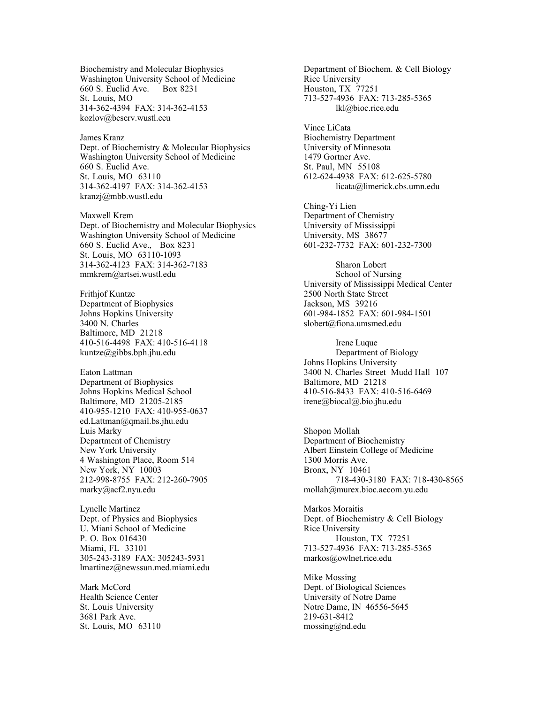Biochemistry and Molecular Biophysics Department of Biochem. & Cell Biology Washington University School of Medicine Rice University<br>
660 S. Euclid Ave. Box 8231 Houston, TX 77251  $660$  S. Euclid Ave. Box 8231 St. Louis, MO 713-527-4936 FAX: 713-285-5365 314-362-4394 FAX: 314-362-4153 lkl@bioc.rice.edu kozlov@bcserv.wustl.eeu

Dept. of Biochemistry & Molecular Biophysics University of Minnesota Washington University School of Medicine 1479 Gortner Ave. 660 S. Euclid Ave.<br>St. Louis. MO 63110 612-624-4938 FAX: 314-362-4197 FAX: 314-362-4153 licata@limerick.cbs.umn.edu kranzj@mbb.wustl.edu

Maxwell Krem **Department of Chemistry** Dept. of Biochemistry and Molecular Biophysics University of Mississippi<br>Washington University School of Medicine University, MS 38677 Washington University School of Medicine 660 S. Euclid Ave., Box 8231 601-232-7732 FAX: 601-232-7300 St. Louis, MO 63110-1093 314-362-4123 FAX: 314-362-7183 Sharon Lobert mmkrem@artsei.wustl.edu School of Nursing

Frithjof Kuntze 2500 North State Street Department of Biophysics Jackson, MS 39216 Baltimore, MD 21218 410-516-4498 FAX: 410-516-4118 Irene Luque  $kuntze@gibbs.bph.jhu.edu$ 

Department of Biophysics Baltimore, MD 21218 Baltimore, MD 21205-2185 irene@biocal@.bio.jhu.edu 410-955-1210 FAX: 410-955-0637 ed.Lattman@qmail.bs.jhu.edu Luis Marky<br>
Department of Chemistry<br>
Department of B 4 Washington Place, Room 514 1300 Morris Ave.<br>
New York, NY 10003 Bronx, NY 10461 New York, NY 10003

Lynelle Martinez Markos Moraitis U. Miani School of Medicine P. O. Box 016430 Houston, TX 77251 305-243-3189 FAX: 305243-5931 lmartinez@newssun.med.miami.edu

3681 Park Ave. 219-631-8412 St. Louis, MO  $63110$  mossing@nd.edu

Vince LiCata James Kranz Biochemistry Department 612-624-4938 FAX: 612-625-5780 Ching-Yi Lien University of Mississippi Medical Center Johns Hopkins University 601-984-1852 FAX: 601-984-1501<br>3400 N. Charles slobert@fiona.umsmed.edu slobert@fiona.umsmed.edu Johns Hopkins University Eaton Lattman 3400 N. Charles Street Mudd Hall 107 Johns Hopkins Medical School 410-516-8433 FAX: 410-516-6469 Department of Biochemistry New York University Albert Einstein College of Medicine 212-998-8755 FAX: 212-260-7905 718-430-3180 FAX: 718-430-8565 marky@acf2.nyu.edu mollah@murex.bioc.aecom.yu.edu Dept. of Physics and Biophysics Dept. of Biochemistry & Cell Biology<br>
U. Miani School of Medicine Rice University Miami, FL 33101 713-527-4936 FAX: 713-285-5365<br>305-243-3189 FAX: 305243-5931 markos@owlnet.rice.edu Mike Mossing Mark McCord Dept. of Biological Sciences Health Science Center University of Notre Dame St. Louis University Notre Dame, IN 46556-5645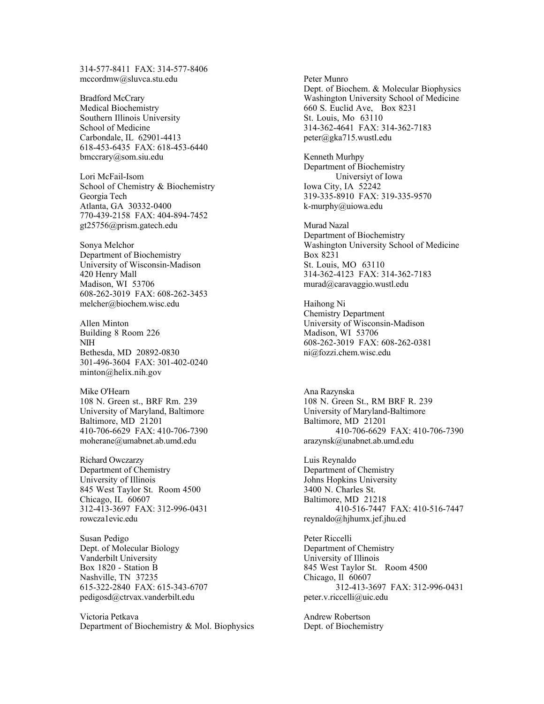314-577-8411 FAX: 314-577-8406 mccordmw@sluvca.stu.edu Peter Munro

Medical Biochemistry 660 S. Euclid Ave, Box 8231<br>Southern Illinois University 660 S. Euclid Ave, Box 8231 Southern Illinois University Carbondale, IL 62901-4413 peter@gka715.wustl.edu 618-453-6435 FAX: 618-453-6440 bmccrary@som.siu.edu Kenneth Murhpy

Lori McFail-Isom Universiyt of Iowa School of Chemistry & Biochemistry Iowa City, IA 52242 Georgia Tech 319-335-8910 FAX: 319-335-9570<br>Atlanta, GA 30332-0400 <br>k-murphy@uiowa.edu Atlanta, GA 30332-0400 770-439-2158 FAX: 404-894-7452 gt25756@prism.gatech.edu Murad Nazal

Department of Biochemistry Box 8231 University of Wisconsin-Madison<br>
St. Louis, MO 63110 Madison, WI 53706 murad@caravaggio.wustl.edu 608-262-3019 FAX: 608-262-3453 melcher@biochem.wisc.edu Haihong Ni

Building 8 Room 226 Madison, WI 53706 301-496-3604 FAX: 301-402-0240 minton@helix.nih.gov

Mike O'Hearn Ana Razynska University of Maryland, Baltimore Baltimore, MD 21201 Baltimore, MD 21201 moherane@umabnet.ab.umd.edu arazynsk@unabnet.ab.umd.edu

Richard Owczarzy Luis Reynaldo Department of Chemistry University of Illinois<br>
845 West Taylor St. Room 4500<br>
3400 N. Charles St. 845 West Taylor St. Room 4500<br>Chicago, IL 60607 rowcza1evic.edu reynaldo@hjhumx.jef.jhu.ed

Susan Pedigo Peter Riccelli Dept. of Molecular Biology Department of Chemistry Vanderbilt University University University of Illinois 615-322-2840 FAX: 615-343-6707 pedigosd@ctrvax.vanderbilt.edu peter.v.riccelli@uic.edu

Victoria Petkava and and a structure and a structure and a structure and a structure and a structure and a structure  $\mathbf{A}$ Department of Biochemistry & Mol. Biophysics Dept. of Biochemistry

Dept. of Biochem. & Molecular Biophysics Bradford McCrary Washington University School of Medicine School of Medicine 314-362-4641 FAX: 314-362-7183

Department of Biochemistry

Department of Biochemistry Sonya Melchor Washington University School of Medicine 420 Henry Mall 314-362-4123 FAX: 314-362-7183

Chemistry Department Allen Minton University of Wisconsin-Madison NIH 608-262-3019 FAX: 608-262-0381 ni@fozzi.chem.wisc.edu

108 N. Green st., BRF Rm. 239 108 N. Green St., RM BRF R. 239<br>
University of Maryland, Baltimore University of Maryland-Baltimore 410-706-6629 FAX: 410-706-7390 410-706-6629 FAX: 410-706-7390

Baltimore, MD 21218 312-413-3697 FAX: 312-996-0431 410-516-7447 FAX: 410-516-7447

Box 1820 - Station B<br>
Nashville, TN 37235<br>
Chicago, Il 60607<br>
Chicago, Il 60607 Nashville, TN 37235<br>
615-322-2840 FAX: 615-343-6707<br>
615-322-2840 FAX: 615-343-6707<br>
712-413-3697 FAX: 312-996-0431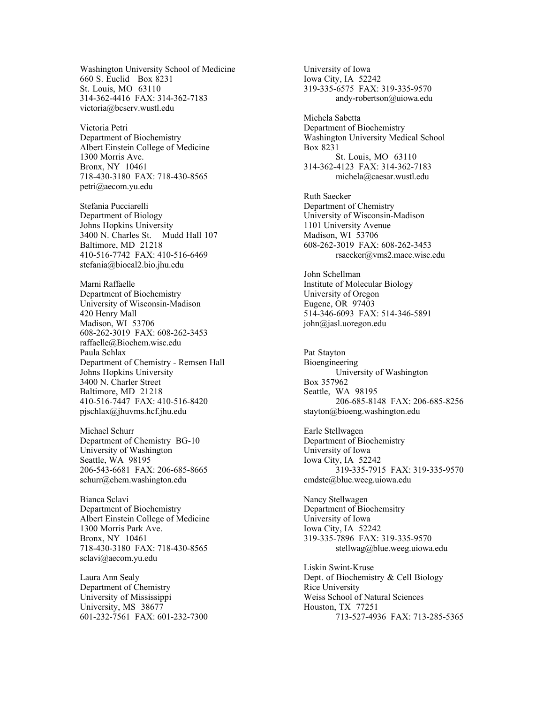Washington University School of Medicine University of Iowa 660 S. Euclid Box 8231 Iowa City, IA 52242<br>St. Louis, MO 63110 319-335-6575 FAX: 314-362-4416 FAX: 314-362-7183 andy-robertson@uiowa.edu victoria@bcserv.wustl.edu

Albert Einstein College of Medicine Box 8231 1300 Morris Ave. St. Louis, MO 63110 Bronx, NY 10461 314-362-4123 FAX: 314-362-7183 718-430-3180 FAX: 718-430-8565 michela@caesar.wustl.edu petri@aecom.yu.edu

Stefania Pucciarelli Department of Chemistry Department of Biology University of Wisconsin-Madison Johns Hopkins University<br>
3400 N. Charles St. Mudd Hall 107 Madison, WI 53706 3400 N. Charles St. Mudd Hall 107 Baltimore, MD 21218 608-262-3019 FAX: 608-262-3453 stefania@biocal2.bio.jhu.edu

Marni Raffaelle **Institute of Molecular Biology Institute of Molecular Biology** Department of Biochemistry University of Oregon University of Wisconsin-Madison<br>
Eugene, OR 97403 420 Henry Mall<br>Madison, WI 53706 1989 120 Henry Madison, WI 53706 120 Henry Madison, WI 53706 608-262-3019 FAX: 608-262-3453 raffaelle@Biochem.wisc.edu Paula Schlax Pat Stayton Department of Chemistry - Remsen Hall Bioengineering Johns Hopkins University<br>
3400 N. Charler Street<br>
3400 N. Charler Street<br>
357962 3400 N. Charler Street Baltimore, MD 21218 Seattle, WA 98195 pjschlax@jhuvms.hcf.jhu.edu stayton@bioeng.washington.edu

Michael Schurr Earle Stellwagen Department of Chemistry BG-10 Department of Biochemistry University of Washington University of Iowa 206-543-6681 FAX: 206-685-8665 schurr@chem.washington.edu cmdste@blue.weeg.uiowa.edu

Bianca Sclavi Nancy Stellwagen Department of Biochemistry Department of Biochemsitry Albert Einstein College of Medicine University of Iowa<br>
1300 Morris Park Ave.<br>
1300 Morris Park Ave. Bronx, NY 10461 319-335-7896 FAX: 319-335-9570 sclavi@aecom.yu.edu

Department of Chemistry University of Mississippi Weiss School of Natural Sciences University, MS 38677 Houston, TX 77251

319-335-6575 FAX: 319-335-9570 Michela Sabetta Victoria Petri Department of Biochemistry Department of Biochemistry Washington University Medical School Ruth Saecker 410-516-7742 FAX: 410-516-6469 rsaecker@vms2.macc.wisc.edu John Schellman  $john @jasi.uoregon.edu$ 410-516-7447 FAX: 410-516-8420 206-685-8148 FAX: 206-685-8256 Seattle, WA 98195<br>206-543-6681 FAX: 206-685-8665<br>206-543-6681 FAX: 206-685-8665<br>319-335-7915 FAX: 319-335-9570 Iowa City, IA 52242 718-430-3180 FAX: 718-430-8565 stellwag@blue.weeg.uiowa.edu Liskin Swint-Kruse Laura Ann Sealy<br>
Department of Chemistry<br>
Department of Chemistry<br>
Department of Chemistry<br>
Department of Chemistry 601-232-7561 FAX: 601-232-7300 713-527-4936 FAX: 713-285-5365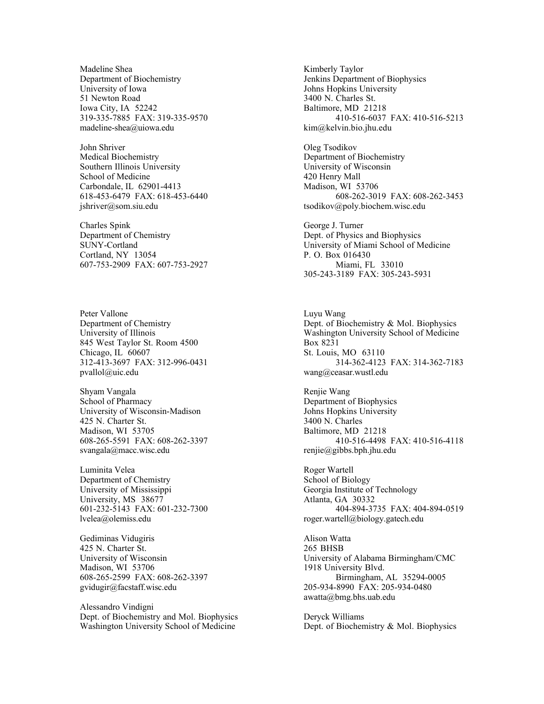Madeline Shea Kimberly Taylor University of Iowa Johns Hopkins University 51 Newton Road 3400 N. Charles St. 319-335-7885 FAX: 319-335-9570 madeline-shea@uiowa.edu kim@kelvin.bio.jhu.edu

John Shriver Oleg Tsodikov Medical Biochemistry **Department of Biochemistry** Department of Biochemistry Southern Illinois University<br>
School of Medicine<br>  $420$  Henry Mall School of Medicine 618-453-6479 FAX: 618-453-6440 jshriver@som.siu.edu tsodikov@poly.biochem.wisc.edu

Charles Spink George J. Turner<br>
Department of Chemistry Secretion Chemistry Sept. of Physics Cortland, NY 13054 P.O. Box 016430 607-753-2909 FAX: 607-753-2927 Miami, FL 33010

Peter Vallone Luyu Wang<br>
Department of Chemistry Separation Control Dept. of Bic 845 West Taylor St. Room 4500 Box 8231<br>Chicago, IL 60607 St. Louis. pvallol@uic.edu wang@ceasar.wustl.edu

Shyam Vangala Renjie Wang School of Pharmacy<br>
University of Wisconsin-Madison<br>
University of Wisconsin-Madison<br>
University of Department of Biophysics<br>
University of Wisconsin-Madison<br>
University of Wisconsin-Madison University of Wisconsin-Madison 425 N. Charter St. 3400 N. Charles Madison, WI 53705 3400 N. Charles Baltimore, MD 608-265-5591 FAX: 608-262-3397 svangala@macc.wisc.edu renjie@gibbs.bph.jhu.edu

Luminita Velea Roger Wartell Department of Chemistry School of Biology University of Mississippi Georgia Institute of Technology<br>
University MS 38677 Atlanta GA 30332 University, MS 38677 lvelea@olemiss.edu roger.wartell@biology.gatech.edu

Gediminas Vidugiris **Alison Watta** 425 N. Charter St. 265 BHSB<br>University of Wisconsin University of Wisconsin Madison, WI 53706 1918 University Blvd.

Alessandro Vindigni Dept. of Biochemistry and Mol. Biophysics Deryck Williams Washington University School of Medicine Dept. of Biochemistry & Mol. Biophysics

Department of Biochemistry Jenkins Department of Biophysics Iowa City, IA 52242<br>
319-335-7885 FAX: 319-335-9570<br>
319-335-7885 FAX: 319-335-9570<br>
410-516-6037 FAX: 410-516-5213

Carbondale, IL 62901-4413<br>
618-453-6479 FAX: 618-453-6440<br>
608-262-3019 FAX: 608-262-3453

Dept. of Physics and Biophysics SUNY-Cortland University of Miami School of Medicine 305-243-3189 FAX: 305-243-5931

Dept. of Biochemistry & Mol. Biophysics University of Illinois Washington University School of Medicine St. Louis, MO 63110 312-413-3697 FAX: 312-996-0431 314-362-4123 FAX: 314-362-7183

Baltimore, MD 21218<br>410-516-4498 FAX: 410-516-4118

601-232-5143 FAX: 601-232-7300 404-894-3735 FAX: 404-894-0519

University of Alabama Birmingham/CMC 608-265-2599 FAX: 608-262-3397 Birmingham, AL 35294-0005 gvidugir@facstaff.wisc.edu 205-934-8990 FAX: 205-934-0480 awatta@bmg.bhs.uab.edu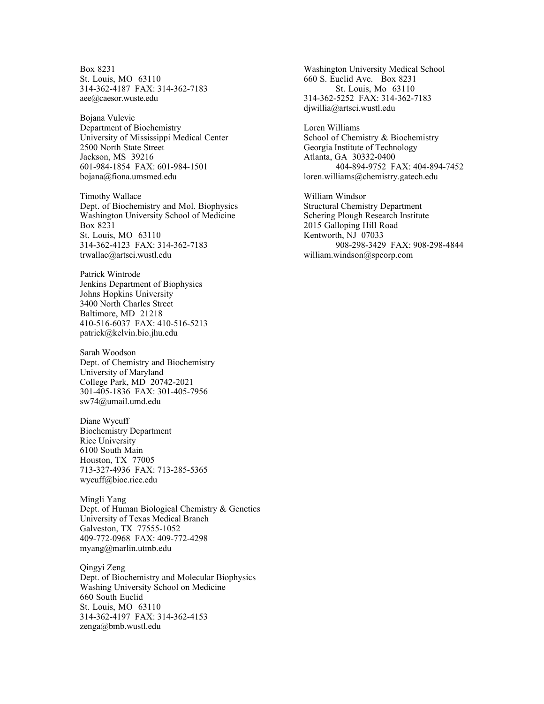St. Louis, MO 63110 660 S. Euclid Ave. Box 8231<br>314-362-4187 FAX: 314-362-7183 5t. Louis. Mo 63110 314-362-4187 FAX: 314-362-7183

Bojana Vulevic Department of Biochemistry Loren Williams University of Mississippi Medical Center School of Chemistry & Biochemistry<br>2500 North State Street Georgia Institute of Technology Jackson, MS 39216 **Atlanta**, GA 30332-0400

Timothy Wallace William Windsor<br>
Dept. of Biochemistry and Mol. Biophysics Structural Chemistry Department Dept. of Biochemistry and Mol. Biophysics Washington University School of Medicine Schering Plough Research Institute Box 8231 2015 Galloping Hill Road<br>St. Louis, MO 63110 Kentworth, NJ 07033 trwallac@artsci.wustl.edu william.windson@spcorp.com

Patrick Wintrode Jenkins Department of Biophysics Johns Hopkins University 3400 North Charles Street Baltimore, MD 21218 410-516-6037 FAX: 410-516-5213 patrick@kelvin.bio.jhu.edu

Sarah Woodson Dept. of Chemistry and Biochemistry University of Maryland College Park, MD 20742-2021 301-405-1836 FAX: 301-405-7956 sw74@umail.umd.edu

Diane Wycuff Biochemistry Department Rice University 6100 South Main Houston, TX 77005 713-327-4936 FAX: 713-285-5365 wycuff@bioc.rice.edu

Mingli Yang Dept. of Human Biological Chemistry & Genetics University of Texas Medical Branch Galveston, TX 77555-1052 409-772-0968 FAX: 409-772-4298 myang@marlin.utmb.edu

Qingyi Zeng Dept. of Biochemistry and Molecular Biophysics Washing University School on Medicine 660 South Euclid St. Louis, MO 63110 314-362-4197 FAX: 314-362-4153 zenga@bmb.wustl.edu

Box 8231 Washington University Medical School aee@caesor.wuste.edu 314-362-5252 FAX: 314-362-7183 djwillia@artsci.wustl.edu

Georgia Institute of Technology 601-984-1854 FAX: 601-984-1501<br>bojana@fiona.umsmed.edu download loren.williams@chemistry.gatech.edu loren.williams@chemistry.gatech.edu

Kentworth, NJ 07033 314-362-4123 FAX: 314-362-7183 908-298-3429 FAX: 908-298-4844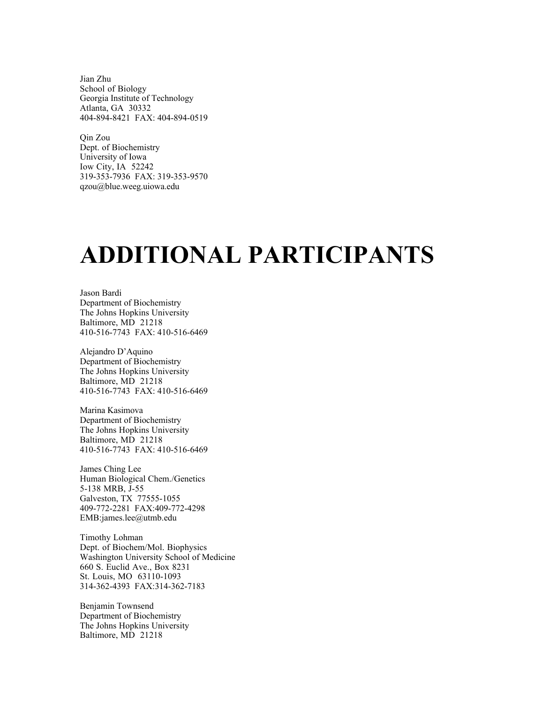Jian Zhu School of Biology Georgia Institute of Technology Atlanta, GA 30332 404-894-8421 FAX: 404-894-0519

Qin Zou Dept. of Biochemistry University of Iowa Iow City, IA 52242 319-353-7936 FAX: 319-353-9570 qzou@blue.weeg.uiowa.edu

## **ADDITIONAL PARTICIPANTS**

Jason Bardi Department of Biochemistry The Johns Hopkins University Baltimore, MD 21218 410-516-7743 FAX: 410-516-6469

Alejandro D'Aquino Department of Biochemistry The Johns Hopkins University Baltimore, MD 21218 410-516-7743 FAX: 410-516-6469

Marina Kasimova Department of Biochemistry The Johns Hopkins University Baltimore, MD 21218 410-516-7743 FAX: 410-516-6469

James Ching Lee Human Biological Chem./Genetics 5-138 MRB, J-55 Galveston, TX 77555-1055 409-772-2281 FAX:409-772-4298 EMB:james.lee@utmb.edu

Timothy Lohman Dept. of Biochem/Mol. Biophysics Washington University School of Medicine 660 S. Euclid Ave., Box 8231 St. Louis, MO 63110-1093 314-362-4393 FAX:314-362-7183

Benjamin Townsend Department of Biochemistry The Johns Hopkins University Baltimore, MD 21218